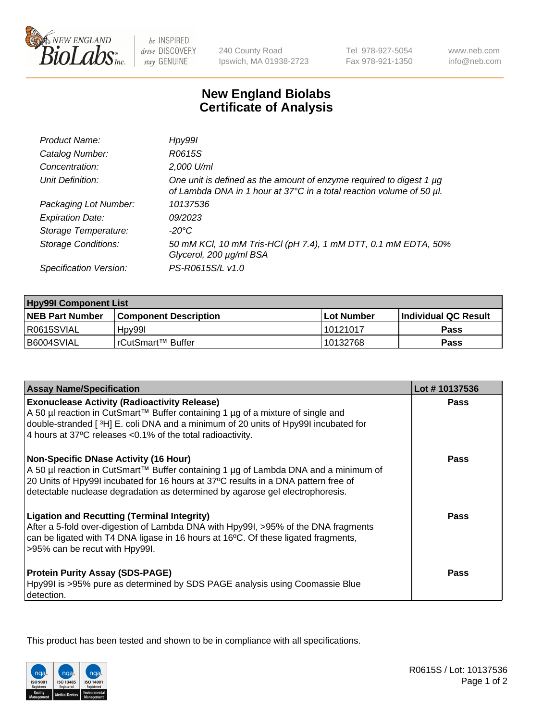

 $be$  INSPIRED drive DISCOVERY stay GENUINE

240 County Road Ipswich, MA 01938-2723 Tel 978-927-5054 Fax 978-921-1350

www.neb.com info@neb.com

## **New England Biolabs Certificate of Analysis**

| Product Name:              | Hpy99I                                                                                                                                      |
|----------------------------|---------------------------------------------------------------------------------------------------------------------------------------------|
| Catalog Number:            | R0615S                                                                                                                                      |
| Concentration:             | 2,000 U/ml                                                                                                                                  |
| Unit Definition:           | One unit is defined as the amount of enzyme required to digest 1 µg<br>of Lambda DNA in 1 hour at 37°C in a total reaction volume of 50 µl. |
| Packaging Lot Number:      | 10137536                                                                                                                                    |
| <b>Expiration Date:</b>    | 09/2023                                                                                                                                     |
| Storage Temperature:       | $-20^{\circ}$ C                                                                                                                             |
| <b>Storage Conditions:</b> | 50 mM KCl, 10 mM Tris-HCl (pH 7.4), 1 mM DTT, 0.1 mM EDTA, 50%<br>Glycerol, 200 µg/ml BSA                                                   |
| Specification Version:     | PS-R0615S/L v1.0                                                                                                                            |

| <b>Hpy99I Component List</b> |                              |              |                       |  |
|------------------------------|------------------------------|--------------|-----------------------|--|
| <b>NEB Part Number</b>       | <b>Component Description</b> | l Lot Number | ∣Individual QC Result |  |
| R0615SVIAL                   | H <sub>pv</sub> 99l          | l 10121017   | Pass                  |  |
| B6004SVIAL                   | l rCutSmart™ Buffer          | 10132768     | Pass                  |  |

| <b>Assay Name/Specification</b>                                                                                                                                                                                                                                                                            | Lot #10137536 |
|------------------------------------------------------------------------------------------------------------------------------------------------------------------------------------------------------------------------------------------------------------------------------------------------------------|---------------|
| <b>Exonuclease Activity (Radioactivity Release)</b><br>A 50 µl reaction in CutSmart™ Buffer containing 1 µg of a mixture of single and                                                                                                                                                                     | <b>Pass</b>   |
| double-stranded [3H] E. coli DNA and a minimum of 20 units of Hpy99I incubated for<br>4 hours at 37°C releases <0.1% of the total radioactivity.                                                                                                                                                           |               |
| <b>Non-Specific DNase Activity (16 Hour)</b><br>A 50 µl reaction in CutSmart™ Buffer containing 1 µg of Lambda DNA and a minimum of<br>20 Units of Hpy99I incubated for 16 hours at 37°C results in a DNA pattern free of<br>detectable nuclease degradation as determined by agarose gel electrophoresis. | Pass          |
| <b>Ligation and Recutting (Terminal Integrity)</b><br>After a 5-fold over-digestion of Lambda DNA with Hpy99I, >95% of the DNA fragments<br>can be ligated with T4 DNA ligase in 16 hours at 16°C. Of these ligated fragments,<br>>95% can be recut with Hpy99I.                                           | Pass          |
| <b>Protein Purity Assay (SDS-PAGE)</b><br>Hpy99I is >95% pure as determined by SDS PAGE analysis using Coomassie Blue<br>detection.                                                                                                                                                                        | <b>Pass</b>   |

This product has been tested and shown to be in compliance with all specifications.